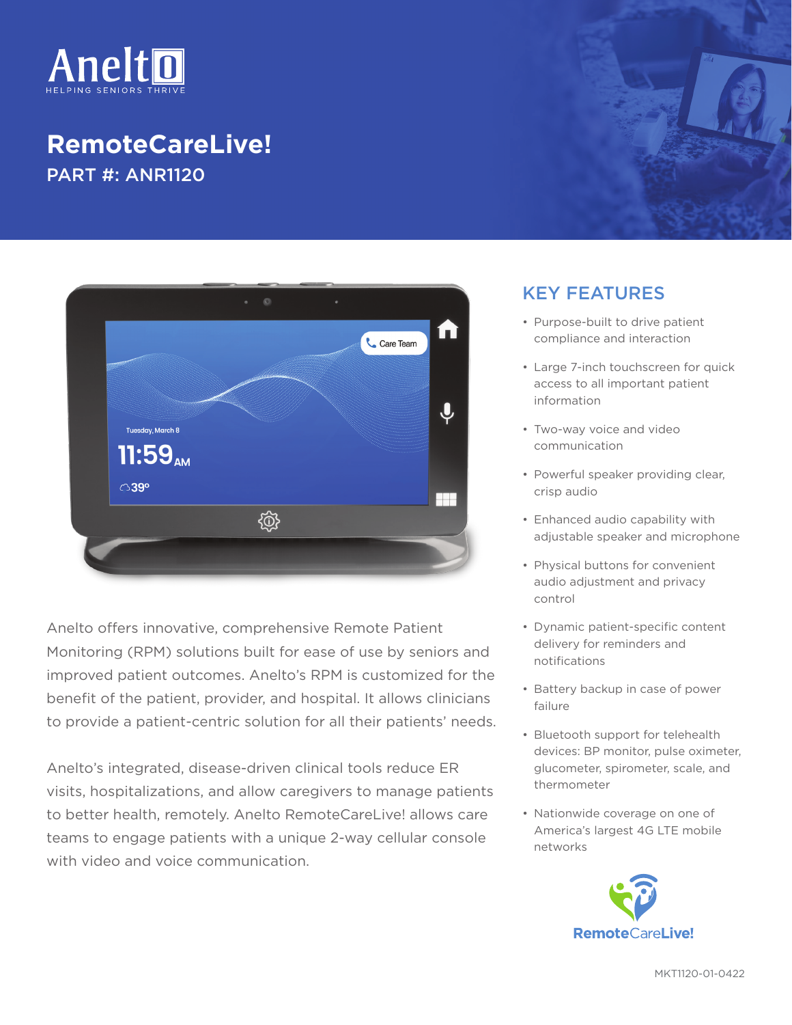

## **RemoteCareLive!** PART #: ANR1120



Anelto offers innovative, comprehensive Remote Patient Monitoring (RPM) solutions built for ease of use by seniors and improved patient outcomes. Anelto's RPM is customized for the benefit of the patient, provider, and hospital. It allows clinicians to provide a patient-centric solution for all their patients' needs.

Anelto's integrated, disease-driven clinical tools reduce ER visits, hospitalizations, and allow caregivers to manage patients to better health, remotely. Anelto RemoteCareLive! allows care teams to engage patients with a unique 2-way cellular console with video and voice communication.

## KEY FEATURES

- Purpose-built to drive patient compliance and interaction
- Large 7-inch touchscreen for quick access to all important patient information
- Two-way voice and video communication
- Powerful speaker providing clear, crisp audio
- Enhanced audio capability with adjustable speaker and microphone
- Physical buttons for convenient audio adjustment and privacy control
- Dynamic patient-specific content delivery for reminders and notifications
- Battery backup in case of power failure
- Bluetooth support for telehealth devices: BP monitor, pulse oximeter, glucometer, spirometer, scale, and thermometer
- Nationwide coverage on one of America's largest 4G LTE mobile networks